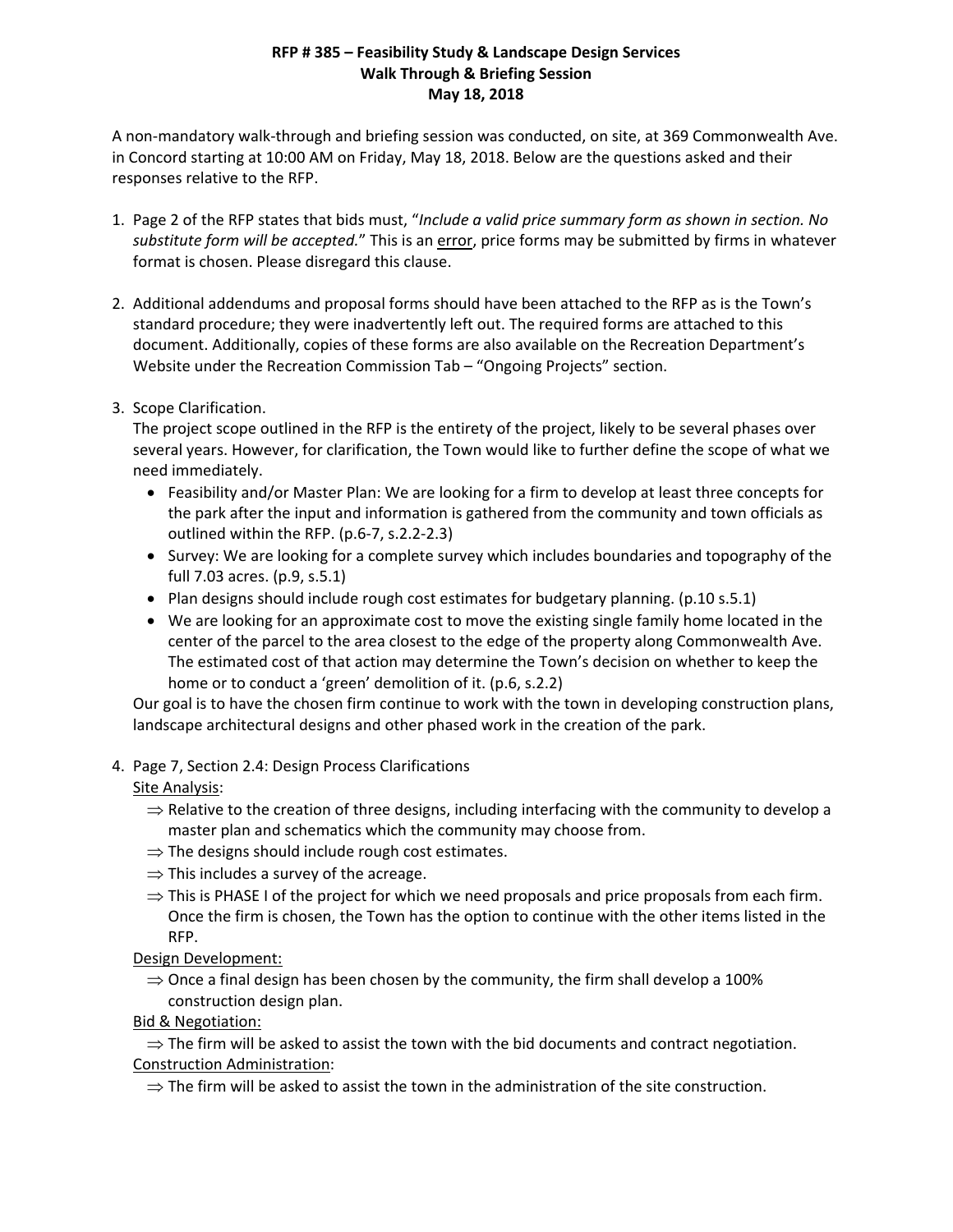#### **RFP # 385 – Feasibility Study & Landscape Design Services Walk Through & Briefing Session May 18, 2018**

A non‐mandatory walk‐through and briefing session was conducted, on site, at 369 Commonwealth Ave. in Concord starting at 10:00 AM on Friday, May 18, 2018. Below are the questions asked and their responses relative to the RFP.

- 1. Page 2 of the RFP states that bids must, "*Include a valid price summary form as shown in section. No substitute form will be accepted.*" This is an error, price forms may be submitted by firms in whatever format is chosen. Please disregard this clause.
- 2. Additional addendums and proposal forms should have been attached to the RFP as is the Town's standard procedure; they were inadvertently left out. The required forms are attached to this document. Additionally, copies of these forms are also available on the Recreation Department's Website under the Recreation Commission Tab – "Ongoing Projects" section.
- 3. Scope Clarification.

The project scope outlined in the RFP is the entirety of the project, likely to be several phases over several years. However, for clarification, the Town would like to further define the scope of what we need immediately.

- Feasibility and/or Master Plan: We are looking for a firm to develop at least three concepts for the park after the input and information is gathered from the community and town officials as outlined within the RFP. (p.6‐7, s.2.2‐2.3)
- Survey: We are looking for a complete survey which includes boundaries and topography of the full 7.03 acres. (p.9, s.5.1)
- Plan designs should include rough cost estimates for budgetary planning. (p.10 s.5.1)
- We are looking for an approximate cost to move the existing single family home located in the center of the parcel to the area closest to the edge of the property along Commonwealth Ave. The estimated cost of that action may determine the Town's decision on whether to keep the home or to conduct a 'green' demolition of it. (p.6, s.2.2)

Our goal is to have the chosen firm continue to work with the town in developing construction plans, landscape architectural designs and other phased work in the creation of the park.

4. Page 7, Section 2.4: Design Process Clarifications

Site Analysis:

- $\Rightarrow$  Relative to the creation of three designs, including interfacing with the community to develop a master plan and schematics which the community may choose from.
- $\Rightarrow$  The designs should include rough cost estimates.
- $\Rightarrow$  This includes a survey of the acreage.
- $\Rightarrow$  This is PHASE I of the project for which we need proposals and price proposals from each firm. Once the firm is chosen, the Town has the option to continue with the other items listed in the RFP.

Design Development:

 $\Rightarrow$  Once a final design has been chosen by the community, the firm shall develop a 100% construction design plan.

Bid & Negotiation:

 $\Rightarrow$  The firm will be asked to assist the town with the bid documents and contract negotiation. Construction Administration:

 $\Rightarrow$  The firm will be asked to assist the town in the administration of the site construction.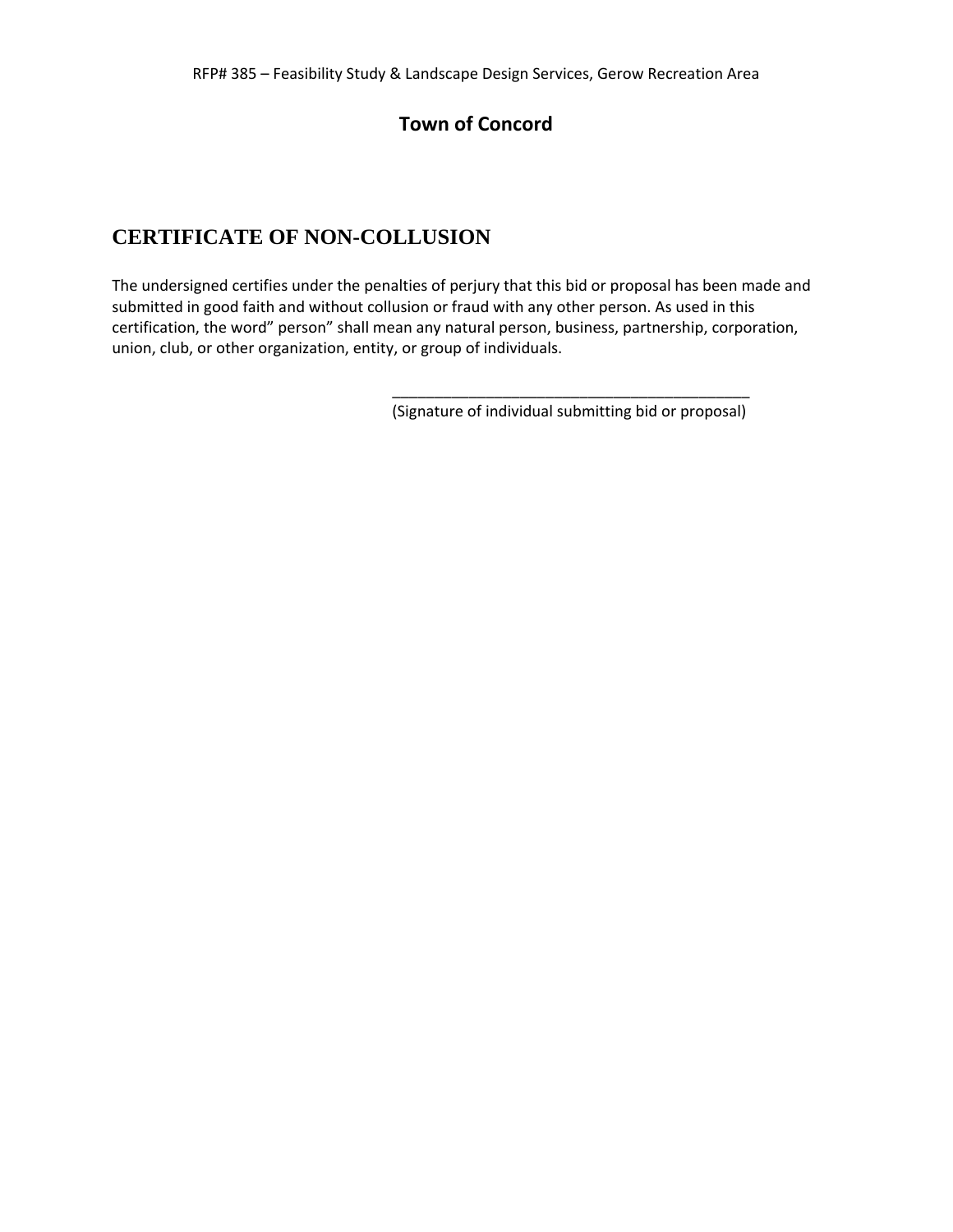# **Town of Concord**

# **CERTIFICATE OF NON-COLLUSION**

The undersigned certifies under the penalties of perjury that this bid or proposal has been made and submitted in good faith and without collusion or fraud with any other person. As used in this certification, the word" person" shall mean any natural person, business, partnership, corporation, union, club, or other organization, entity, or group of individuals.

 $\overline{\phantom{a}}$  ,  $\overline{\phantom{a}}$  ,  $\overline{\phantom{a}}$  ,  $\overline{\phantom{a}}$  ,  $\overline{\phantom{a}}$  ,  $\overline{\phantom{a}}$  ,  $\overline{\phantom{a}}$  ,  $\overline{\phantom{a}}$  ,  $\overline{\phantom{a}}$  ,  $\overline{\phantom{a}}$  ,  $\overline{\phantom{a}}$  ,  $\overline{\phantom{a}}$  ,  $\overline{\phantom{a}}$  ,  $\overline{\phantom{a}}$  ,  $\overline{\phantom{a}}$  ,  $\overline{\phantom{a}}$ 

(Signature of individual submitting bid or proposal)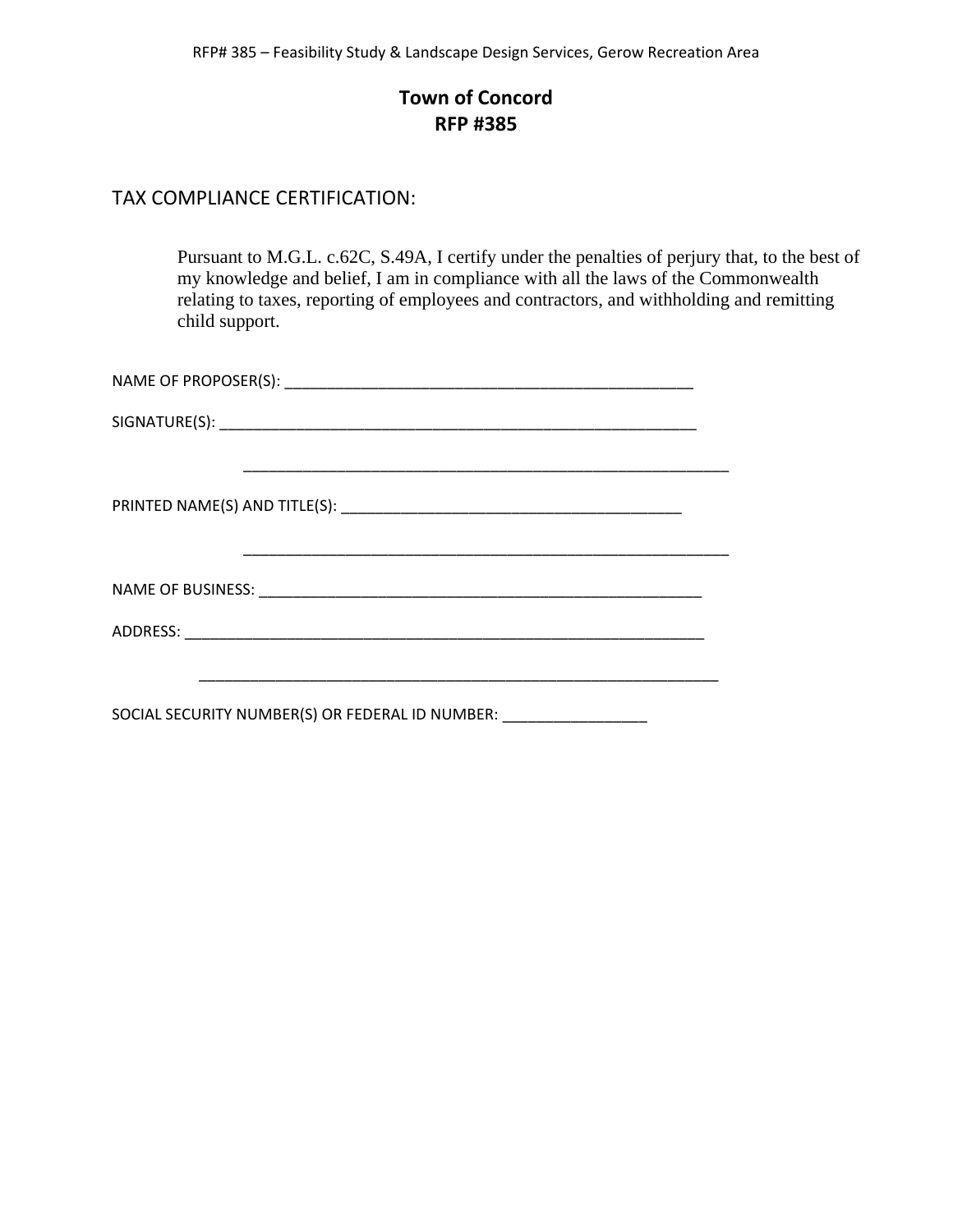## **Town of Concord RFP #385**

#### TAX COMPLIANCE CERTIFICATION:

Pursuant to M.G.L. c.62C, S.49A, I certify under the penalties of perjury that, to the best of my knowledge and belief, I am in compliance with all the laws of the Commonwealth relating to taxes, reporting of employees and contractors, and withholding and remitting child support.

| <u> 1989 - Johann Stoff, deutscher Stoff, der Stoff, der Stoff, der Stoff, der Stoff, der Stoff, der Stoff, der S</u> |
|-----------------------------------------------------------------------------------------------------------------------|
|                                                                                                                       |
|                                                                                                                       |
|                                                                                                                       |
|                                                                                                                       |
| SOCIAL SECURITY NUMBER(S) OR FEDERAL ID NUMBER: ___________________                                                   |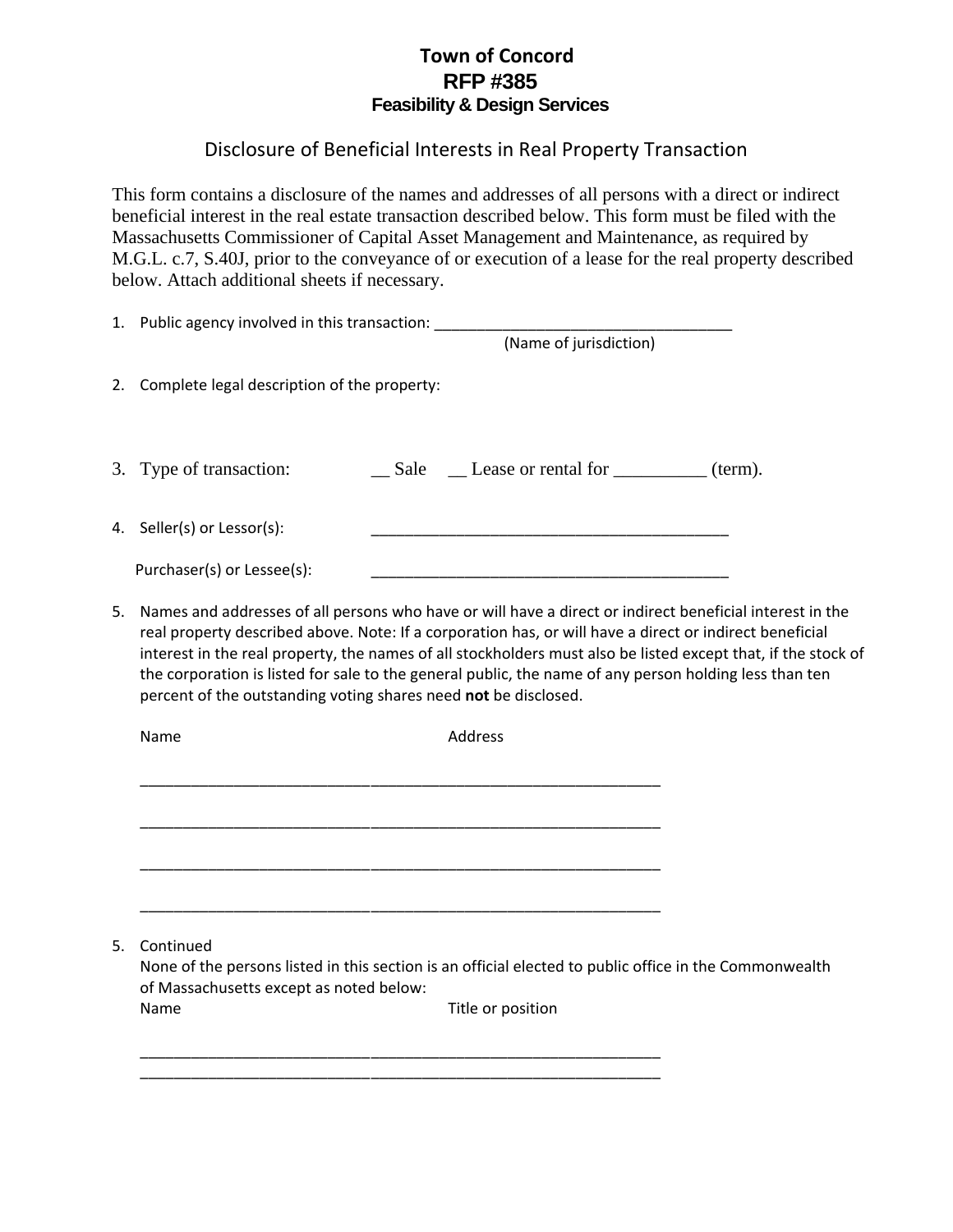### **Town of Concord RFP #385 Feasibility & Design Services**

## Disclosure of Beneficial Interests in Real Property Transaction

This form contains a disclosure of the names and addresses of all persons with a direct or indirect beneficial interest in the real estate transaction described below. This form must be filed with the Massachusetts Commissioner of Capital Asset Management and Maintenance, as required by M.G.L. c.7, S.40J, prior to the conveyance of or execution of a lease for the real property described below. Attach additional sheets if necessary.

| 1. Public agency involved in this transaction: _______<br>(Name of jurisdiction) |                                                                                                                                                                                                                                                                                                                                                                                                                                                                                                                   |  |                   |  |  |
|----------------------------------------------------------------------------------|-------------------------------------------------------------------------------------------------------------------------------------------------------------------------------------------------------------------------------------------------------------------------------------------------------------------------------------------------------------------------------------------------------------------------------------------------------------------------------------------------------------------|--|-------------------|--|--|
|                                                                                  | 2. Complete legal description of the property:                                                                                                                                                                                                                                                                                                                                                                                                                                                                    |  |                   |  |  |
|                                                                                  | 3. Type of transaction:                                                                                                                                                                                                                                                                                                                                                                                                                                                                                           |  |                   |  |  |
|                                                                                  | 4. Seller(s) or Lessor(s):                                                                                                                                                                                                                                                                                                                                                                                                                                                                                        |  |                   |  |  |
|                                                                                  | Purchaser(s) or Lessee(s):                                                                                                                                                                                                                                                                                                                                                                                                                                                                                        |  |                   |  |  |
| 5.                                                                               | Names and addresses of all persons who have or will have a direct or indirect beneficial interest in the<br>real property described above. Note: If a corporation has, or will have a direct or indirect beneficial<br>interest in the real property, the names of all stockholders must also be listed except that, if the stock of<br>the corporation is listed for sale to the general public, the name of any person holding less than ten<br>percent of the outstanding voting shares need not be disclosed. |  |                   |  |  |
|                                                                                  | Name                                                                                                                                                                                                                                                                                                                                                                                                                                                                                                              |  | Address           |  |  |
|                                                                                  |                                                                                                                                                                                                                                                                                                                                                                                                                                                                                                                   |  |                   |  |  |
|                                                                                  | Continued                                                                                                                                                                                                                                                                                                                                                                                                                                                                                                         |  |                   |  |  |
| 5.                                                                               | None of the persons listed in this section is an official elected to public office in the Commonwealth<br>of Massachusetts except as noted below:                                                                                                                                                                                                                                                                                                                                                                 |  |                   |  |  |
|                                                                                  | Name                                                                                                                                                                                                                                                                                                                                                                                                                                                                                                              |  | Title or position |  |  |
|                                                                                  |                                                                                                                                                                                                                                                                                                                                                                                                                                                                                                                   |  |                   |  |  |